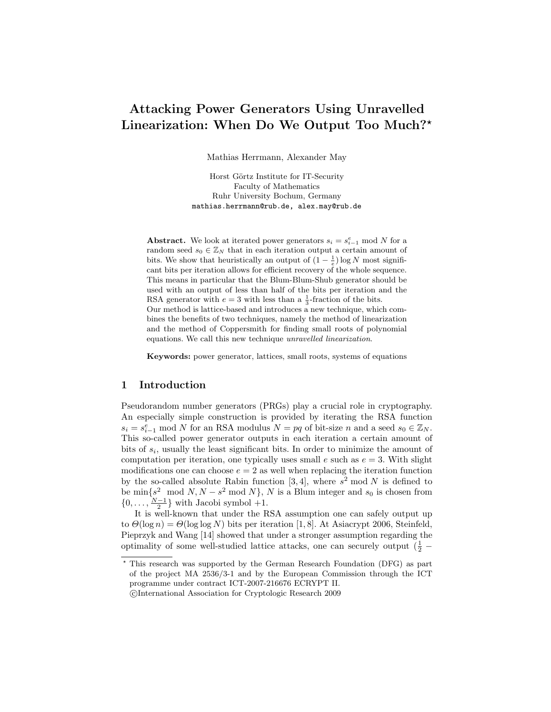# Attacking Power Generators Using Unravelled Linearization: When Do We Output Too Much?<sup>\*</sup>

Mathias Herrmann, Alexander May

Horst Görtz Institute for IT-Security Faculty of Mathematics Ruhr University Bochum, Germany mathias.herrmann@rub.de, alex.may@rub.de

Abstract. We look at iterated power generators  $s_i = s_{i-1}^e \mod N$  for a random seed  $s_0 \in \mathbb{Z}_N$  that in each iteration output a certain amount of bits. We show that heuristically an output of  $(1 - \frac{1}{e}) \log N$  most significant bits per iteration allows for efficient recovery of the whole sequence. This means in particular that the Blum-Blum-Shub generator should be used with an output of less than half of the bits per iteration and the RSA generator with  $e = 3$  with less than a  $\frac{1}{3}$ -fraction of the bits. Our method is lattice-based and introduces a new technique, which combines the benefits of two techniques, namely the method of linearization and the method of Coppersmith for finding small roots of polynomial equations. We call this new technique unravelled linearization.

Keywords: power generator, lattices, small roots, systems of equations

## 1 Introduction

Pseudorandom number generators (PRGs) play a crucial role in cryptography. An especially simple construction is provided by iterating the RSA function  $s_i = s_{i-1}^e \mod N$  for an RSA modulus  $N = pq$  of bit-size n and a seed  $s_0 \in \mathbb{Z}_N$ . This so-called power generator outputs in each iteration a certain amount of bits of  $s_i$ , usually the least significant bits. In order to minimize the amount of computation per iteration, one typically uses small  $e$  such as  $e = 3$ . With slight modifications one can choose  $e = 2$  as well when replacing the iteration function by the so-called absolute Rabin function [3, 4], where  $s^2$  mod N is defined to be  $\min\{s^2 \mod N, N - s^2 \mod N\}$ , N is a Blum integer and  $s_0$  is chosen from  $\{0, \ldots, \frac{N-1}{2}\}\$  with Jacobi symbol +1.

It is well-known that under the RSA assumption one can safely output up to  $\Theta(\log n) = \Theta(\log \log N)$  bits per iteration [1, 8]. At Asiacrypt 2006, Steinfeld, Pieprzyk and Wang [14] showed that under a stronger assumption regarding the optimality of some well-studied lattice attacks, one can securely output  $(\frac{1}{2}$  –

<sup>?</sup> This research was supported by the German Research Foundation (DFG) as part of the project MA 2536/3-1 and by the European Commission through the ICT programme under contract ICT-2007-216676 ECRYPT II.

c International Association for Cryptologic Research 2009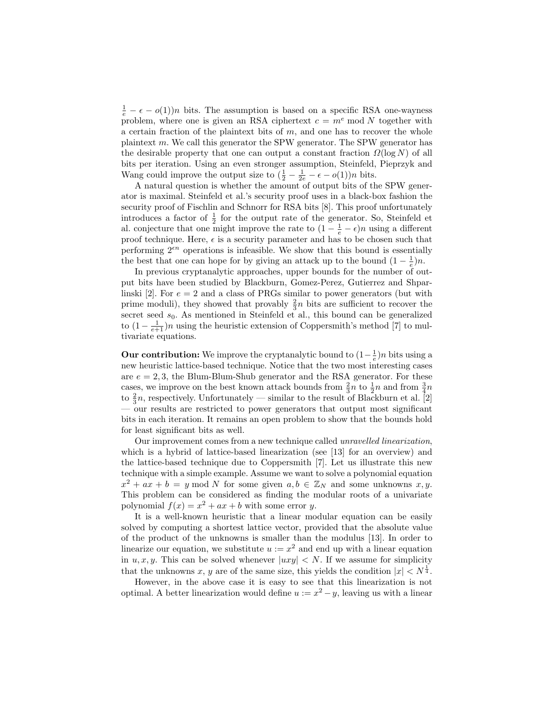$\frac{1}{e} - \epsilon - o(1)$  bits. The assumption is based on a specific RSA one-wayness problem, where one is given an RSA ciphertext  $c = m^e \mod N$  together with a certain fraction of the plaintext bits of  $m$ , and one has to recover the whole plaintext m. We call this generator the SPW generator. The SPW generator has the desirable property that one can output a constant fraction  $\Omega(\log N)$  of all bits per iteration. Using an even stronger assumption, Steinfeld, Pieprzyk and Wang could improve the output size to  $(\frac{1}{2} - \frac{1}{2e} - \epsilon - o(1))n$  bits.

A natural question is whether the amount of output bits of the SPW generator is maximal. Steinfeld et al.'s security proof uses in a black-box fashion the security proof of Fischlin and Schnorr for RSA bits [8]. This proof unfortunately introduces a factor of  $\frac{1}{2}$  for the output rate of the generator. So, Steinfeld et al. conjecture that one might improve the rate to  $(1 - \frac{1}{e} - \epsilon)n$  using a different proof technique. Here,  $\epsilon$  is a security parameter and has to be chosen such that performing  $2^{\epsilon n}$  operations is infeasible. We show that this bound is essentially the best that one can hope for by giving an attack up to the bound  $(1 - \frac{1}{e})n$ .

In previous cryptanalytic approaches, upper bounds for the number of output bits have been studied by Blackburn, Gomez-Perez, Gutierrez and Shparlinski [2]. For  $e = 2$  and a class of PRGs similar to power generators (but with prime moduli), they showed that provably  $\frac{2}{3}n$  bits are sufficient to recover the secret seed  $s_0$ . As mentioned in Steinfeld et al., this bound can be generalized to  $(1 - \frac{1}{e+1})n$  using the heuristic extension of Coppersmith's method [7] to multivariate equations.

**Our contribution:** We improve the cryptanalytic bound to  $(1 - \frac{1}{e})n$  bits using a new heuristic lattice-based technique. Notice that the two most interesting cases are  $e = 2, 3$ , the Blum-Blum-Shub generator and the RSA generator. For these cases, we improve on the best known attack bounds from  $\frac{2}{3}n$  to  $\frac{1}{2}n$  and from  $\frac{3}{4}n$ to  $\frac{2}{3}n$ , respectively. Unfortunately — similar to the result of Blackburn et al. [2] — our results are restricted to power generators that output most significant bits in each iteration. It remains an open problem to show that the bounds hold for least significant bits as well.

Our improvement comes from a new technique called unravelled linearization, which is a hybrid of lattice-based linearization (see [13] for an overview) and the lattice-based technique due to Coppersmith [7]. Let us illustrate this new technique with a simple example. Assume we want to solve a polynomial equation  $x^2 + ax + b = y \mod N$  for some given  $a, b \in \mathbb{Z}_N$  and some unknowns  $x, y$ . This problem can be considered as finding the modular roots of a univariate polynomial  $f(x) = x^2 + ax + b$  with some error y.

It is a well-known heuristic that a linear modular equation can be easily solved by computing a shortest lattice vector, provided that the absolute value of the product of the unknowns is smaller than the modulus [13]. In order to linearize our equation, we substitute  $u := x^2$  and end up with a linear equation in  $u, x, y$ . This can be solved whenever  $|uxy| < N$ . If we assume for simplicity that the unknowns x, y are of the same size, this yields the condition  $|x| < N^{\frac{1}{4}}$ .

However, in the above case it is easy to see that this linearization is not optimal. A better linearization would define  $u := x^2 - y$ , leaving us with a linear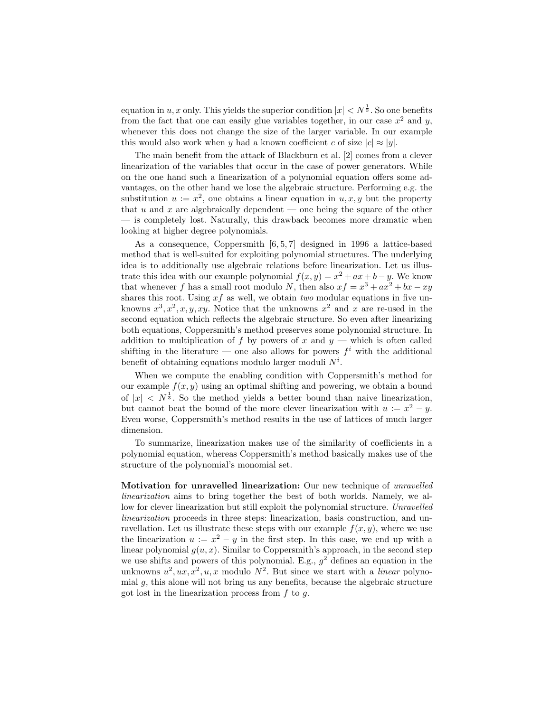equation in u, x only. This yields the superior condition  $|x| < N^{\frac{1}{3}}$ . So one benefits from the fact that one can easily glue variables together, in our case  $x^2$  and y, whenever this does not change the size of the larger variable. In our example this would also work when y had a known coefficient c of size  $|c| \approx |y|$ .

The main benefit from the attack of Blackburn et al. [2] comes from a clever linearization of the variables that occur in the case of power generators. While on the one hand such a linearization of a polynomial equation offers some advantages, on the other hand we lose the algebraic structure. Performing e.g. the substitution  $u := x^2$ , one obtains a linear equation in  $u, x, y$  but the property that  $u$  and  $x$  are algebraically dependent — one being the square of the other — is completely lost. Naturally, this drawback becomes more dramatic when looking at higher degree polynomials.

As a consequence, Coppersmith  $[6, 5, 7]$  designed in 1996 a lattice-based method that is well-suited for exploiting polynomial structures. The underlying idea is to additionally use algebraic relations before linearization. Let us illustrate this idea with our example polynomial  $f(x, y) = x^2 + ax + b - y$ . We know that whenever f has a small root modulo N, then also  $xf = x^3 + ax^2 + bx - xy$ shares this root. Using  $xf$  as well, we obtain two modular equations in five unknowns  $x^3, x^2, x, y, xy$ . Notice that the unknowns  $x^2$  and x are re-used in the second equation which reflects the algebraic structure. So even after linearizing both equations, Coppersmith's method preserves some polynomial structure. In addition to multiplication of f by powers of x and  $y$  — which is often called shifting in the literature — one also allows for powers  $f^i$  with the additional benefit of obtaining equations modulo larger moduli  $N^i$ .

When we compute the enabling condition with Coppersmith's method for our example  $f(x, y)$  using an optimal shifting and powering, we obtain a bound of  $|x| \leq N^{\frac{1}{3}}$ . So the method yields a better bound than naive linearization, but cannot beat the bound of the more clever linearization with  $u := x^2 - y$ . Even worse, Coppersmith's method results in the use of lattices of much larger dimension.

To summarize, linearization makes use of the similarity of coefficients in a polynomial equation, whereas Coppersmith's method basically makes use of the structure of the polynomial's monomial set.

Motivation for unravelled linearization: Our new technique of unravelled linearization aims to bring together the best of both worlds. Namely, we allow for clever linearization but still exploit the polynomial structure. Unravelled linearization proceeds in three steps: linearization, basis construction, and unravellation. Let us illustrate these steps with our example  $f(x, y)$ , where we use the linearization  $u := x^2 - y$  in the first step. In this case, we end up with a linear polynomial  $q(u, x)$ . Similar to Coppersmith's approach, in the second step we use shifts and powers of this polynomial. E.g.,  $g^2$  defines an equation in the unknowns  $u^2, ux, x^2, u, x$  modulo  $N^2$ . But since we start with a *linear* polynomial  $g$ , this alone will not bring us any benefits, because the algebraic structure got lost in the linearization process from  $f$  to  $g$ .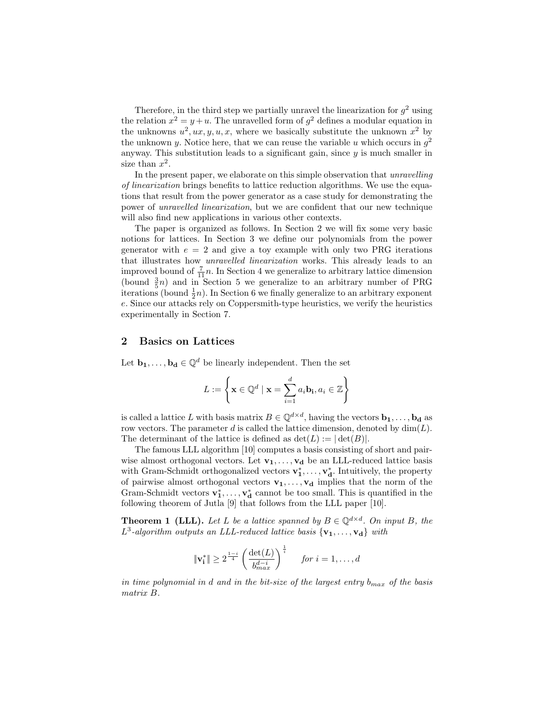Therefore, in the third step we partially unravel the linearization for  $g^2$  using the relation  $x^2 = y + u$ . The unravelled form of  $g^2$  defines a modular equation in the unknowns  $u^2, ux, y, u, x$ , where we basically substitute the unknown  $x^2$  by the unknown y. Notice here, that we can reuse the variable u which occurs in  $g^2$ anyway. This substitution leads to a significant gain, since  $y$  is much smaller in size than  $x^2$ .

In the present paper, we elaborate on this simple observation that unravelling of linearization brings benefits to lattice reduction algorithms. We use the equations that result from the power generator as a case study for demonstrating the power of unravelled linearization, but we are confident that our new technique will also find new applications in various other contexts.

The paper is organized as follows. In Section 2 we will fix some very basic notions for lattices. In Section 3 we define our polynomials from the power generator with  $e = 2$  and give a toy example with only two PRG iterations that illustrates how unravelled linearization works. This already leads to an improved bound of  $\frac{7}{11}n$ . In Section 4 we generalize to arbitrary lattice dimension (bound  $\frac{3}{5}n$ ) and in Section 5 we generalize to an arbitrary number of PRG iterations (bound  $\frac{1}{2}n$ ). In Section 6 we finally generalize to an arbitrary exponent e. Since our attacks rely on Coppersmith-type heuristics, we verify the heuristics experimentally in Section 7.

### 2 Basics on Lattices

Let  $\mathbf{b}_1, \ldots, \mathbf{b}_d \in \mathbb{Q}^d$  be linearly independent. Then the set

$$
L := \left\{ \mathbf{x} \in \mathbb{Q}^d \mid \mathbf{x} = \sum_{i=1}^d a_i \mathbf{b_i}, a_i \in \mathbb{Z} \right\}
$$

is called a lattice L with basis matrix  $B \in \mathbb{Q}^{d \times d}$ , having the vectors  $\mathbf{b_1}, \ldots, \mathbf{b_d}$  as row vectors. The parameter d is called the lattice dimension, denoted by  $\dim(L)$ . The determinant of the lattice is defined as  $\det(L) := |\det(B)|$ .

The famous LLL algorithm [10] computes a basis consisting of short and pairwise almost orthogonal vectors. Let  $\mathbf{v}_1, \ldots, \mathbf{v}_d$  be an LLL-reduced lattice basis with Gram-Schmidt orthogonalized vectors  $\mathbf{v}_1^*, \ldots, \mathbf{v}_d^*$ . Intuitively, the property of pairwise almost orthogonal vectors  $\mathbf{v}_1, \ldots, \mathbf{v}_d$  implies that the norm of the Gram-Schmidt vectors  $\mathbf{v}_1^*, \ldots, \mathbf{v}_d^*$  cannot be too small. This is quantified in the following theorem of Jutla [9] that follows from the LLL paper [10].

**Theorem 1 (LLL).** Let L be a lattice spanned by  $B \in \mathbb{Q}^{d \times d}$ . On input B, the  $L^3$ -algorithm outputs an LLL-reduced lattice basis  ${v_1, \ldots, v_d}$  with

$$
\|\mathbf{v}_i^*\| \ge 2^{\frac{1-i}{4}} \left(\frac{\det(L)}{b_{max}^{d-i}}\right)^{\frac{1}{i}} \quad \text{for } i = 1, \dots, d
$$

in time polynomial in d and in the bit-size of the largest entry  $b_{max}$  of the basis matrix B.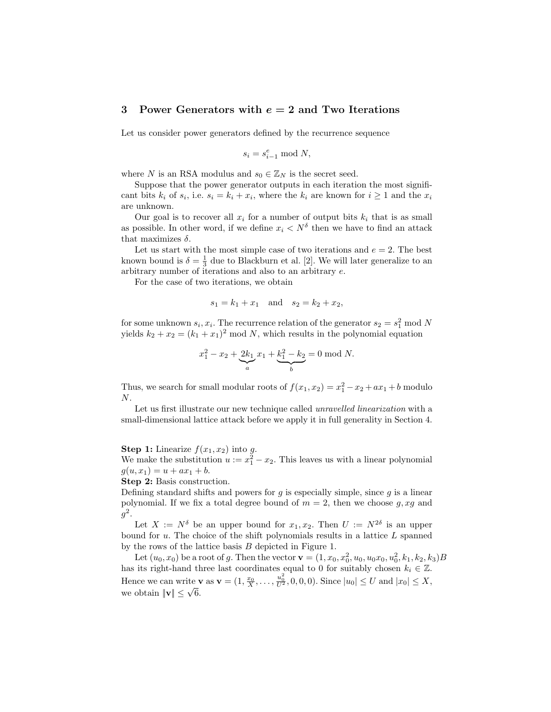### 3 Power Generators with  $e = 2$  and Two Iterations

Let us consider power generators defined by the recurrence sequence

$$
s_i = s_{i-1}^e \bmod N,
$$

where N is an RSA modulus and  $s_0 \in \mathbb{Z}_N$  is the secret seed.

Suppose that the power generator outputs in each iteration the most significant bits  $k_i$  of  $s_i$ , i.e.  $s_i = k_i + x_i$ , where the  $k_i$  are known for  $i \ge 1$  and the  $x_i$ are unknown.

Our goal is to recover all  $x_i$  for a number of output bits  $k_i$  that is as small as possible. In other word, if we define  $x_i < N^{\delta}$  then we have to find an attack that maximizes  $\delta$ .

Let us start with the most simple case of two iterations and  $e = 2$ . The best known bound is  $\delta = \frac{1}{3}$  due to Blackburn et al. [2]. We will later generalize to an arbitrary number of iterations and also to an arbitrary e.

For the case of two iterations, we obtain

$$
s_1 = k_1 + x_1
$$
 and  $s_2 = k_2 + x_2$ ,

for some unknown  $s_i, x_i$ . The recurrence relation of the generator  $s_2 = s_1^2 \mod N$ yields  $k_2 + x_2 = (k_1 + x_1)^2 \text{ mod } N$ , which results in the polynomial equation

$$
x_1^2 - x_2 + \underbrace{2k_1}_{a} x_1 + \underbrace{k_1^2 - k_2}_{b} = 0 \text{ mod } N.
$$

Thus, we search for small modular roots of  $f(x_1, x_2) = x_1^2 - x_2 + ax_1 + b$  modulo  $N$ .

Let us first illustrate our new technique called *unravelled linearization* with a small-dimensional lattice attack before we apply it in full generality in Section 4.

**Step 1:** Linearize  $f(x_1, x_2)$  into g.

We make the substitution  $u := x_1^2 - x_2$ . This leaves us with a linear polynomial  $g(u, x_1) = u + ax_1 + b.$ 

Step 2: Basis construction.

Defining standard shifts and powers for  $g$  is especially simple, since  $g$  is a linear polynomial. If we fix a total degree bound of  $m = 2$ , then we choose g, xg and  $g^2$ .

Let  $X := N^{\delta}$  be an upper bound for  $x_1, x_2$ . Then  $U := N^{2\delta}$  is an upper bound for  $u$ . The choice of the shift polynomials results in a lattice  $L$  spanned by the rows of the lattice basis B depicted in Figure 1.

Let  $(u_0, x_0)$  be a root of g. Then the vector  $\mathbf{v} = (1, x_0, x_0^2, u_0, u_0x_0, u_0^2, k_1, k_2, k_3)B$ has its right-hand three last coordinates equal to 0 for suitably chosen  $k_i \in \mathbb{Z}$ . Hence we can write **v** as  $\mathbf{v} = (1, \frac{x_0}{X}, \dots, \frac{u_0^2}{U^2}, 0, 0, 0)$ . Since  $|u_0| \leq U$  and  $|x_0| \leq X$ , we obtain  $\|\mathbf{v}\| \leq \sqrt{6}$ .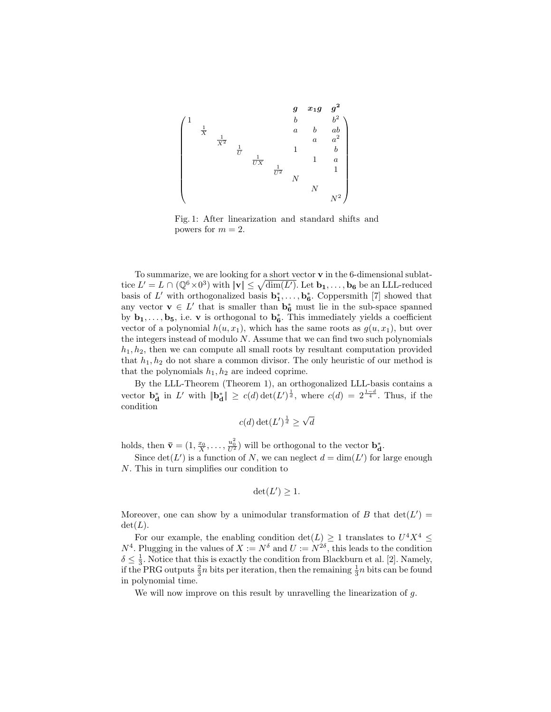

Fig. 1: After linearization and standard shifts and powers for  $m = 2$ .

To summarize, we are looking for a short vector v in the 6-dimensional sublattice  $L' = L \cap (\mathbb{Q}^6 \times 0^3)$  with  $\|\mathbf{v}\| \leq \sqrt{\dim(L')}$ . Let  $\mathbf{b_1}, \ldots, \mathbf{b_6}$  be an LLL-reduced basis of  $L'$  with orthogonalized basis  $\mathbf{b}_1^*, \ldots, \mathbf{b}_6^*$ . Coppersmith [7] showed that any vector  $\mathbf{v} \in L'$  that is smaller than  $\mathbf{b}_6^*$  must lie in the sub-space spanned by  $\mathbf{b}_1, \ldots, \mathbf{b}_5$ , i.e. v is orthogonal to  $\mathbf{b}_6^*$ . This immediately yields a coefficient vector of a polynomial  $h(u, x_1)$ , which has the same roots as  $g(u, x_1)$ , but over the integers instead of modulo  $N$ . Assume that we can find two such polynomials  $h_1, h_2$ , then we can compute all small roots by resultant computation provided that  $h_1, h_2$  do not share a common divisor. The only heuristic of our method is that the polynomials  $h_1, h_2$  are indeed coprime.

By the LLL-Theorem (Theorem 1), an orthogonalized LLL-basis contains a vector  $\mathbf{b}_{\mathbf{d}}^*$  in L' with  $\|\mathbf{b}_{\mathbf{d}}^*\| \ge c(d) \det(L')^{\frac{1}{d}}$ , where  $c(d) = 2^{\frac{1-d}{4}}$ . Thus, if the condition

$$
c(d)\det(L')^{\frac{1}{d}} \ge \sqrt{d}
$$

holds, then  $\bar{\mathbf{v}} = (1, \frac{x_0}{X}, \dots, \frac{u_0^2}{U^2})$  will be orthogonal to the vector  $\mathbf{b}_d^*$ .

Since  $\det(L')$  is a function of N, we can neglect  $d = \dim(L')$  for large enough N. This in turn simplifies our condition to

$$
\det(L') \ge 1.
$$

Moreover, one can show by a unimodular transformation of B that  $det(L') =$  $\det(L)$ .

For our example, the enabling condition  $\det(L) \geq 1$  translates to  $U^4 X^4 \leq$  $N^4$ . Plugging in the values of  $X := N^{\delta}$  and  $U := N^{2\delta}$ , this leads to the condition  $\delta \leq \frac{1}{3}$ . Notice that this is exactly the condition from Blackburn et al. [2]. Namely, if the PRG outputs  $\frac{2}{3}n$  bits per iteration, then the remaining  $\frac{1}{3}n$  bits can be found in polynomial time.

We will now improve on this result by unravelling the linearization of g.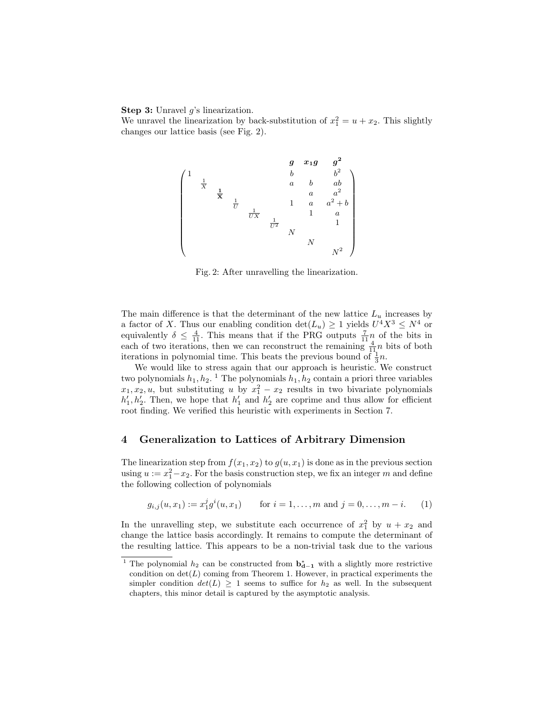#### **Step 3:** Unravel  $g$ 's linearization.

We unravel the linearization by back-substitution of  $x_1^2 = u + x_2$ . This slightly changes our lattice basis (see Fig. 2).



Fig. 2: After unravelling the linearization.

The main difference is that the determinant of the new lattice  $L_u$  increases by a factor of X. Thus our enabling condition  $\det(L_u) \geq 1$  yields  $U^4 X^3 \leq N^4$  or equivalently  $\delta \leq \frac{4}{11}$ . This means that if the PRG outputs  $\frac{7}{11}n$  of the bits in each of two iterations, then we can reconstruct the remaining  $\frac{4}{11}n$  bits of both iterations in polynomial time. This beats the previous bound of  $\frac{1}{3}n$ .

We would like to stress again that our approach is heuristic. We construct two polynomials  $h_1, h_2$ .<sup>1</sup> The polynomials  $h_1, h_2$  contain a priori three variables  $x_1, x_2, u$ , but substituting u by  $x_1^2 - x_2$  results in two bivariate polynomials  $h'_1, h'_2$ . Then, we hope that  $h'_1$  and  $h'_2$  are coprime and thus allow for efficient root finding. We verified this heuristic with experiments in Section 7.

## 4 Generalization to Lattices of Arbitrary Dimension

The linearization step from  $f(x_1, x_2)$  to  $g(u, x_1)$  is done as in the previous section using  $u := x_1^2 - x_2$ . For the basis construction step, we fix an integer m and define the following collection of polynomials

$$
g_{i,j}(u, x_1) := x_1^j g^i(u, x_1)
$$
 for  $i = 1, ..., m$  and  $j = 0, ..., m - i$ . (1)

In the unravelling step, we substitute each occurrence of  $x_1^2$  by  $u + x_2$  and change the lattice basis accordingly. It remains to compute the determinant of the resulting lattice. This appears to be a non-trivial task due to the various

<sup>&</sup>lt;sup>1</sup> The polynomial  $h_2$  can be constructed from  $\mathbf{b}_{d-1}^*$  with a slightly more restrictive condition on  $\det(L)$  coming from Theorem 1. However, in practical experiments the simpler condition  $det(L) \geq 1$  seems to suffice for  $h_2$  as well. In the subsequent chapters, this minor detail is captured by the asymptotic analysis.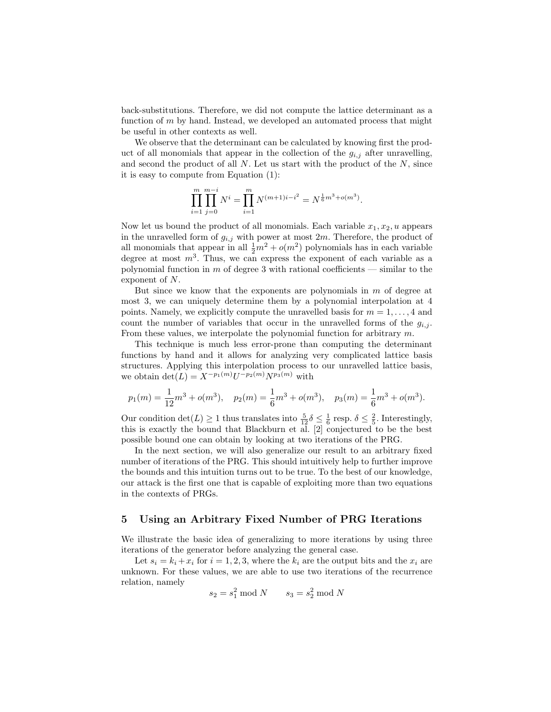back-substitutions. Therefore, we did not compute the lattice determinant as a function of  $m$  by hand. Instead, we developed an automated process that might be useful in other contexts as well.

We observe that the determinant can be calculated by knowing first the product of all monomials that appear in the collection of the  $g_{i,j}$  after unravelling, and second the product of all  $N$ . Let us start with the product of the  $N$ , since it is easy to compute from Equation (1):

$$
\prod_{i=1}^{m} \prod_{j=0}^{m-i} N^i = \prod_{i=1}^{m} N^{(m+1)i-i^2} = N^{\frac{1}{6}m^3 + o(m^3)}.
$$

Now let us bound the product of all monomials. Each variable  $x_1, x_2, u$  appears in the unravelled form of  $g_{i,j}$  with power at most  $2m$ . Therefore, the product of all monomials that appear in all  $\frac{1}{2}m^2 + o(m^2)$  polynomials has in each variable degree at most  $m^3$ . Thus, we can express the exponent of each variable as a polynomial function in m of degree 3 with rational coefficients — similar to the exponent of N.

But since we know that the exponents are polynomials in  $m$  of degree at most 3, we can uniquely determine them by a polynomial interpolation at 4 points. Namely, we explicitly compute the unravelled basis for  $m = 1, \ldots, 4$  and count the number of variables that occur in the unravelled forms of the  $g_{i,j}$ . From these values, we interpolate the polynomial function for arbitrary m.

This technique is much less error-prone than computing the determinant functions by hand and it allows for analyzing very complicated lattice basis structures. Applying this interpolation process to our unravelled lattice basis, we obtain  $\det(L) = X^{-p_1(m)}U^{-p_2(m)}N^{p_3(m)}$  with

$$
p_1(m) = \frac{1}{12}m^3 + o(m^3)
$$
,  $p_2(m) = \frac{1}{6}m^3 + o(m^3)$ ,  $p_3(m) = \frac{1}{6}m^3 + o(m^3)$ .

Our condition  $\det(L) \geq 1$  thus translates into  $\frac{5}{12}\delta \leq \frac{1}{6}$  resp.  $\delta \leq \frac{2}{5}$ . Interestingly, this is exactly the bound that Blackburn et al. [2] conjectured to be the best possible bound one can obtain by looking at two iterations of the PRG.

In the next section, we will also generalize our result to an arbitrary fixed number of iterations of the PRG. This should intuitively help to further improve the bounds and this intuition turns out to be true. To the best of our knowledge, our attack is the first one that is capable of exploiting more than two equations in the contexts of PRGs.

## 5 Using an Arbitrary Fixed Number of PRG Iterations

We illustrate the basic idea of generalizing to more iterations by using three iterations of the generator before analyzing the general case.

Let  $s_i = k_i + x_i$  for  $i = 1, 2, 3$ , where the  $k_i$  are the output bits and the  $x_i$  are unknown. For these values, we are able to use two iterations of the recurrence relation, namely

$$
s_2 = s_1^2 \bmod N \qquad s_3 = s_2^2 \bmod N
$$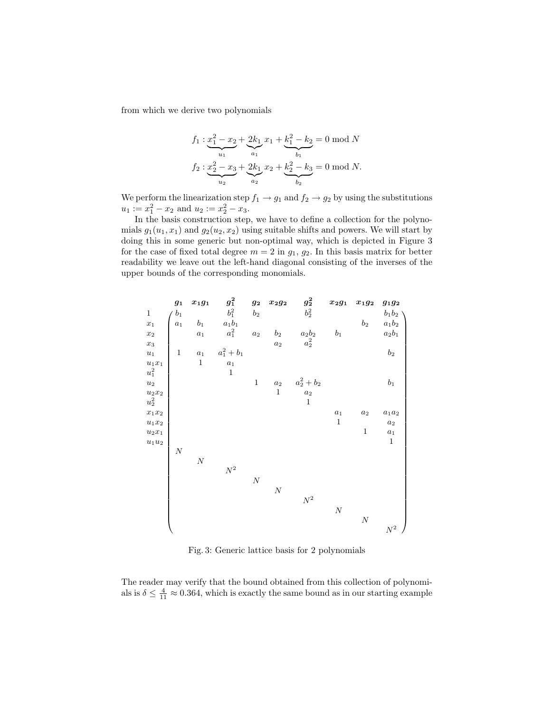from which we derive two polynomials

$$
f_1: \underbrace{x_1^2 - x_2}_{u_1} + \underbrace{2k_1}_{a_1} x_1 + \underbrace{k_1^2 - k_2}_{b_1} = 0 \text{ mod } N
$$
  

$$
f_2: \underbrace{x_2^2 - x_3}_{u_2} + \underbrace{2k_1}_{a_2} x_2 + \underbrace{k_2^2 - k_3}_{b_2} = 0 \text{ mod } N.
$$

We perform the linearization step  $f_1 \rightarrow g_1$  and  $f_2 \rightarrow g_2$  by using the substitutions  $u_1 := x_1^2 - x_2$  and  $u_2 := x_2^2 - x_3$ .

In the basis construction step, we have to define a collection for the polynomials  $g_1(u_1, x_1)$  and  $g_2(u_2, x_2)$  using suitable shifts and powers. We will start by doing this in some generic but non-optimal way, which is depicted in Figure 3 for the case of fixed total degree  $m = 2$  in  $g_1, g_2$ . In this basis matrix for better readability we leave out the left-hand diagonal consisting of the inverses of the upper bounds of the corresponding monomials.



Fig. 3: Generic lattice basis for 2 polynomials

The reader may verify that the bound obtained from this collection of polynomials is  $\delta \leq \frac{4}{11} \approx 0.364$ , which is exactly the same bound as in our starting example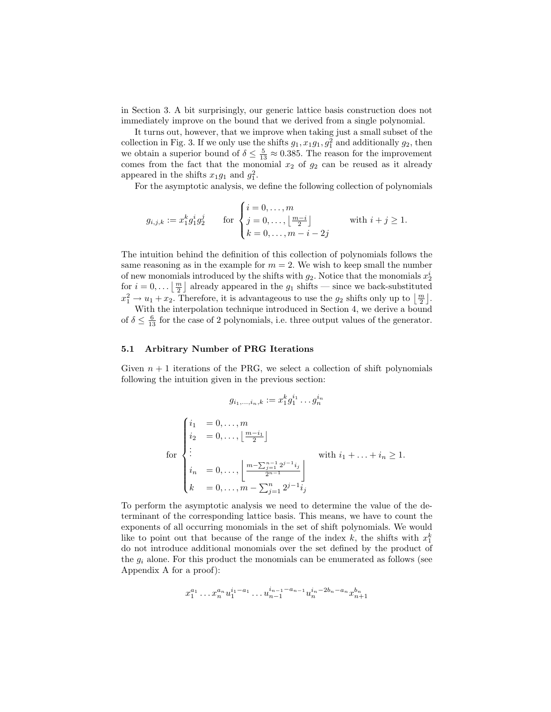in Section 3. A bit surprisingly, our generic lattice basis construction does not immediately improve on the bound that we derived from a single polynomial.

It turns out, however, that we improve when taking just a small subset of the collection in Fig. 3. If we only use the shifts  $g_1, x_1g_1, g_1^2$  and additionally  $g_2$ , then we obtain a superior bound of  $\delta \leq \frac{5}{13} \approx 0.385$ . The reason for the improvement comes from the fact that the monomial  $x_2$  of  $g_2$  can be reused as it already appeared in the shifts  $x_1g_1$  and  $g_1^2$ .

For the asymptotic analysis, we define the following collection of polynomials

$$
g_{i,j,k} := x_1^k g_1^i g_2^j \quad \text{for } \begin{cases} i = 0, \dots, m \\ j = 0, \dots, \left\lfloor \frac{m-i}{2} \right\rfloor \\ k = 0, \dots, m-i-2j \end{cases} \quad \text{with } i + j \ge 1.
$$

The intuition behind the definition of this collection of polynomials follows the same reasoning as in the example for  $m = 2$ . We wish to keep small the number of new monomials introduced by the shifts with  $g_2$ . Notice that the monomials  $x_2^i$ for  $i = 0, \ldots \lfloor \frac{m}{2} \rfloor$  already appeared in the  $g_1$  shifts — since we back-substituted  $x_1^2 \to u_1 + x_2$ . Therefore, it is advantageous to use the  $g_2$  shifts only up to  $\lfloor \frac{m}{2} \rfloor$ . With the interpolation technique introduced in Section 4, we derive a bound

of  $\delta \leq \frac{6}{13}$  for the case of 2 polynomials, i.e. three output values of the generator.

#### 5.1 Arbitrary Number of PRG Iterations

Given  $n + 1$  iterations of the PRG, we select a collection of shift polynomials following the intuition given in the previous section:

$$
g_{i_1,\dots,i_n,k} := x_1^k g_1^{i_1} \dots g_n^{i_n}
$$
  

$$
\begin{cases} i_1 = 0, \dots, m \\ i_2 = 0, \dots, \left\lfloor \frac{m-i_1}{2} \right\rfloor \\ \vdots \\ i_n = 0, \dots, \left\lfloor \frac{m - \sum_{j=1}^{n-1} 2^{j-1} i_j}{2^{n-1}} \right\rfloor \\ k = 0, \dots, m - \sum_{j=1}^n 2^{j-1} i_j \end{cases} \text{ with } i_1 + \dots + i_n \ge 1.
$$

To perform the asymptotic analysis we need to determine the value of the determinant of the corresponding lattice basis. This means, we have to count the exponents of all occurring monomials in the set of shift polynomials. We would like to point out that because of the range of the index k, the shifts with  $x_1^k$ do not introduce additional monomials over the set defined by the product of the  $g_i$  alone. For this product the monomials can be enumerated as follows (see Appendix A for a proof):

$$
x_1^{a_1} \dots x_n^{a_n} u_1^{i_1 - a_1} \dots u_{n-1}^{i_{n-1} - a_{n-1}} u_n^{i_n - 2b_n - a_n} x_{n+1}^{b_n}
$$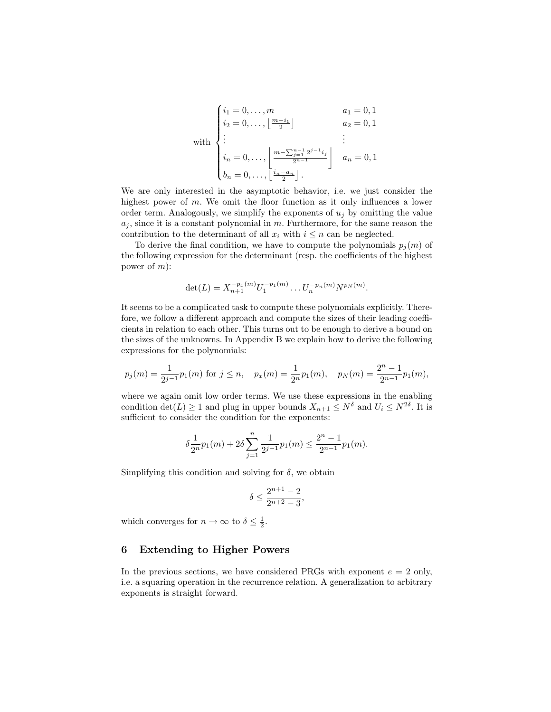with  
\n
$$
\begin{cases}\ni_1 = 0, \dots, m & a_1 = 0, 1 \\
i_2 = 0, \dots, \left\lfloor \frac{m - i_1}{2} \right\rfloor & a_2 = 0, 1 \\
\vdots & \vdots \\
i_n = 0, \dots, \left\lfloor \frac{m - \sum_{j=1}^{n-1} 2^{j-1} i_j}{2^{n-1}} \right\rfloor & a_n = 0, 1 \\
b_n = 0, \dots, \left\lfloor \frac{i_n - a_n}{2} \right\rfloor.\n\end{cases}
$$

We are only interested in the asymptotic behavior, i.e. we just consider the highest power of m. We omit the floor function as it only influences a lower order term. Analogously, we simplify the exponents of  $u_j$  by omitting the value  $a_j$ , since it is a constant polynomial in m. Furthermore, for the same reason the contribution to the determinant of all  $x_i$  with  $i \leq n$  can be neglected.

To derive the final condition, we have to compute the polynomials  $p_i(m)$  of the following expression for the determinant (resp. the coefficients of the highest power of  $m$ ):

$$
\det(L) = X_{n+1}^{-p_x(m)} U_1^{-p_1(m)} \dots U_n^{-p_n(m)} N^{p_N(m)}.
$$

It seems to be a complicated task to compute these polynomials explicitly. Therefore, we follow a different approach and compute the sizes of their leading coefficients in relation to each other. This turns out to be enough to derive a bound on the sizes of the unknowns. In Appendix B we explain how to derive the following expressions for the polynomials:

$$
p_j(m) = \frac{1}{2^{j-1}} p_1(m) \text{ for } j \le n, \quad p_x(m) = \frac{1}{2^n} p_1(m), \quad p_N(m) = \frac{2^n - 1}{2^{n-1}} p_1(m),
$$

where we again omit low order terms. We use these expressions in the enabling condition  $\det(L) \geq 1$  and plug in upper bounds  $X_{n+1} \leq N^{\delta}$  and  $U_i \leq N^{2\delta}$ . It is sufficient to consider the condition for the exponents:

$$
\delta \frac{1}{2^n} p_1(m) + 2 \delta \sum_{j=1}^n \frac{1}{2^{j-1}} p_1(m) \le \frac{2^n - 1}{2^{n-1}} p_1(m).
$$

Simplifying this condition and solving for  $\delta$ , we obtain

$$
\delta \le \frac{2^{n+1} - 2}{2^{n+2} - 3},
$$

which converges for  $n \to \infty$  to  $\delta \leq \frac{1}{2}$ .

## 6 Extending to Higher Powers

In the previous sections, we have considered PRGs with exponent  $e = 2$  only, i.e. a squaring operation in the recurrence relation. A generalization to arbitrary exponents is straight forward.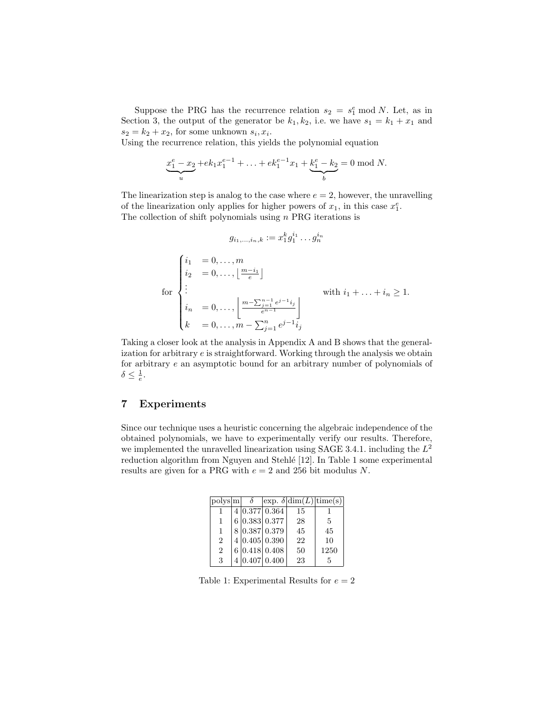Suppose the PRG has the recurrence relation  $s_2 = s_1^e \mod N$ . Let, as in Section 3, the output of the generator be  $k_1, k_2$ , i.e. we have  $s_1 = k_1 + x_1$  and  $s_2 = k_2 + x_2$ , for some unknown  $s_i, x_i$ .

Using the recurrence relation, this yields the polynomial equation

$$
\underbrace{x_1^e - x_2}_{u} + e k_1 x_1^{e-1} + \ldots + e k_1^{e-1} x_1 + \underbrace{k_1^e - k_2}_{b} = 0 \mod N.
$$

The linearization step is analog to the case where  $e = 2$ , however, the unravelling of the linearization only applies for higher powers of  $x_1$ , in this case  $x_1^e$ . The collection of shift polynomials using  $n$  PRG iterations is

$$
g_{i_1,\dots,i_n,k} := x_1^k g_1^{i_1} \dots g_n^{i_n}
$$

for  $\sqrt{ }$  $\int$  $\overline{\mathcal{L}}$  $i_1 = 0, \ldots, m$  $i_2 = 0, \ldots, \left\lfloor \frac{m-i_1}{e} \right\rfloor$ . . .  $i_n = 0, \ldots, \left| \frac{m - \sum_{j=1}^{n-1} e^{j-1} i_j}{e^{n-1}} \right|$  $e^{n-1}$  $\overline{a}$  $k = 0, \ldots, \bar{m} - \sum_{j=1}^{n} e^{j-1} \bar{i}_j$ with  $i_1 + \ldots + i_n \geq 1$ .

Taking a closer look at the analysis in Appendix A and B shows that the generalization for arbitrary e is straightforward. Working through the analysis we obtain for arbitrary e an asymptotic bound for an arbitrary number of polynomials of  $\delta \leq \frac{1}{e}.$ 

## 7 Experiments

Since our technique uses a heuristic concerning the algebraic independence of the obtained polynomials, we have to experimentally verify our results. Therefore, we implemented the unravelled linearization using SAGE 3.4.1. including the  $L^2$ reduction algorithm from Nguyen and Stehlé [12]. In Table 1 some experimental results are given for a PRG with  $e = 2$  and 256 bit modulus N.

| polysm         |  |               | $\exp. \delta \dim(L) \times (s)$ |      |
|----------------|--|---------------|-----------------------------------|------|
|                |  | 4 0.377 0.364 | 15                                |      |
| 1              |  | 6 0.383 0.377 | 28                                | 5    |
| 1              |  | 8 0.387 0.379 | 45                                | 45   |
| $\overline{2}$ |  | 4 0.405 0.390 | 22                                | 10   |
| $\overline{2}$ |  | 6 0.418 0.408 | 50                                | 1250 |
| 3              |  | 4 0.407 0.400 | 23                                | 5    |

Table 1: Experimental Results for  $e = 2$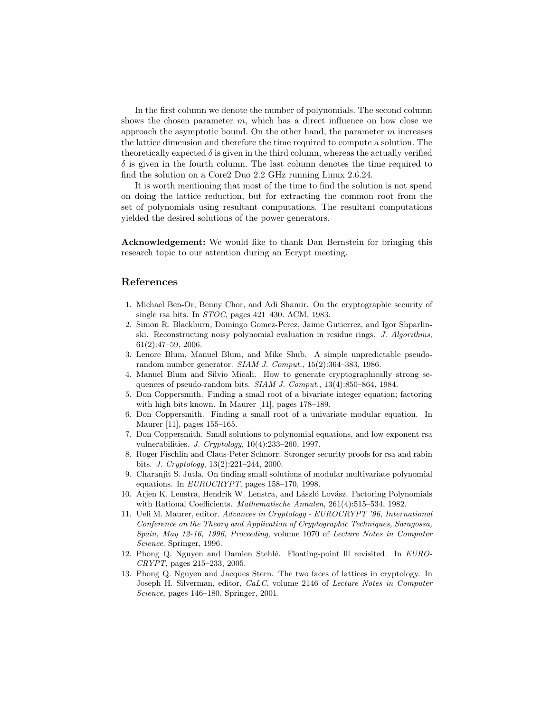In the first column we denote the number of polynomials. The second column shows the chosen parameter  $m$ , which has a direct influence on how close we approach the asymptotic bound. On the other hand, the parameter  $m$  increases the lattice dimension and therefore the time required to compute a solution. The theoretically expected  $\delta$  is given in the third column, whereas the actually verified  $\delta$  is given in the fourth column. The last column denotes the time required to find the solution on a Core2 Duo 2.2 GHz running Linux 2.6.24.

It is worth mentioning that most of the time to find the solution is not spend on doing the lattice reduction, but for extracting the common root from the set of polynomials using resultant computations. The resultant computations yielded the desired solutions of the power generators.

Acknowledgement: We would like to thank Dan Bernstein for bringing this research topic to our attention during an Ecrypt meeting.

## References

- 1. Michael Ben-Or, Benny Chor, and Adi Shamir. On the cryptographic security of single rsa bits. In STOC, pages 421–430. ACM, 1983.
- 2. Simon R. Blackburn, Domingo Gomez-Perez, Jaime Gutierrez, and Igor Shparlinski. Reconstructing noisy polynomial evaluation in residue rings. J. Algorithms, 61(2):47–59, 2006.
- 3. Lenore Blum, Manuel Blum, and Mike Shub. A simple unpredictable pseudorandom number generator. SIAM J. Comput., 15(2):364–383, 1986.
- 4. Manuel Blum and Silvio Micali. How to generate cryptographically strong sequences of pseudo-random bits. SIAM J. Comput., 13(4):850–864, 1984.
- 5. Don Coppersmith. Finding a small root of a bivariate integer equation; factoring with high bits known. In Maurer [11], pages 178–189.
- 6. Don Coppersmith. Finding a small root of a univariate modular equation. In Maurer [11], pages 155–165.
- 7. Don Coppersmith. Small solutions to polynomial equations, and low exponent rsa vulnerabilities. J. Cryptology, 10(4):233–260, 1997.
- 8. Roger Fischlin and Claus-Peter Schnorr. Stronger security proofs for rsa and rabin bits. J. Cryptology, 13(2):221–244, 2000.
- 9. Charanjit S. Jutla. On finding small solutions of modular multivariate polynomial equations. In EUROCRYPT, pages 158–170, 1998.
- 10. Arjen K. Lenstra, Hendrik W. Lenstra, and László Lovász. Factoring Polynomials with Rational Coefficients. Mathematische Annalen, 261(4):515–534, 1982.
- 11. Ueli M. Maurer, editor. Advances in Cryptology EUROCRYPT '96, International Conference on the Theory and Application of Cryptographic Techniques, Saragossa, Spain, May 12-16, 1996, Proceeding, volume 1070 of Lecture Notes in Computer Science. Springer, 1996.
- 12. Phong Q. Nguyen and Damien Stehlé. Floating-point lll revisited. In EURO-CRYPT, pages 215–233, 2005.
- 13. Phong Q. Nguyen and Jacques Stern. The two faces of lattices in cryptology. In Joseph H. Silverman, editor, CaLC, volume 2146 of Lecture Notes in Computer Science, pages 146–180. Springer, 2001.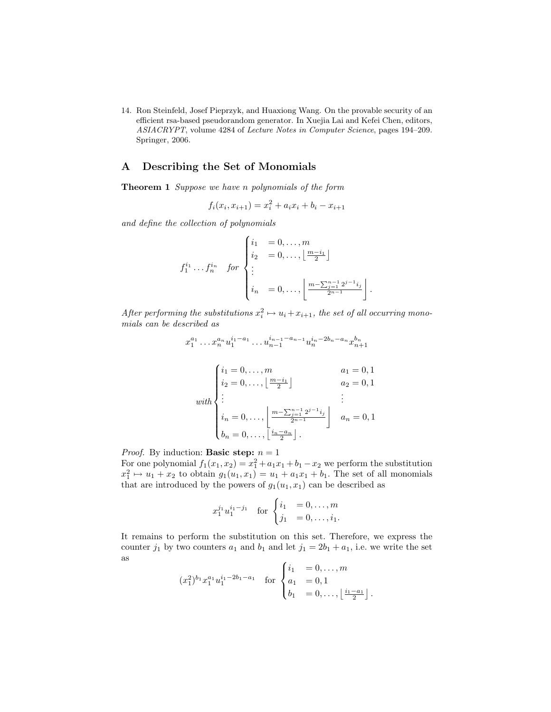14. Ron Steinfeld, Josef Pieprzyk, and Huaxiong Wang. On the provable security of an efficient rsa-based pseudorandom generator. In Xuejia Lai and Kefei Chen, editors, ASIACRYPT, volume 4284 of Lecture Notes in Computer Science, pages 194–209. Springer, 2006.

## A Describing the Set of Monomials

Theorem 1 Suppose we have n polynomials of the form

$$
f_i(x_i, x_{i+1}) = x_i^2 + a_i x_i + b_i - x_{i+1}
$$

and define the collection of polynomials

$$
f_1^{i_1} \dots f_n^{i_n} \quad \text{for} \begin{cases} i_1 = 0, \dots, m \\ i_2 = 0, \dots, \left\lfloor \frac{m - i_1}{2} \right\rfloor \\ \vdots \\ i_n = 0, \dots, \left\lfloor \frac{m - \sum_{j=1}^{n-1} 2^{j-1} i_j}{2^{n-1}} \right\rfloor. \end{cases}
$$

After performing the substitutions  $x_i^2 \mapsto u_i + x_{i+1}$ , the set of all occurring monomials can be described as

$$
x_1^{a_1} \dots x_n^{a_n} u_1^{i_1 - a_1} \dots u_{n-1}^{i_{n-1} - a_{n-1}} u_n^{i_n - 2b_n - a_n} x_{n+1}^{b_n}
$$
  
\n
$$
\begin{cases}\ni_1 = 0, \dots, m & a_1 = 0, 1 \\
i_2 = 0, \dots, \left\lfloor \frac{m - i_1}{2} \right\rfloor & a_2 = 0, 1 \\
\vdots & \vdots \\
i_n = 0, \dots, \left\lfloor \frac{m - \sum_{j=1}^{n-1} 2^{j-1} i_j}{2^{n-1}} \right\rfloor & a_n = 0, 1 \\
b_n = 0, \dots, \left\lfloor \frac{i_n - a_n}{2} \right\rfloor.\n\end{cases}
$$

*Proof.* By induction: **Basic step:**  $n = 1$ For one polynomial  $f_1(x_1, x_2) = x_1^2 + a_1x_1 + b_1 - x_2$  we perform the substitution  $x_1^2 \mapsto u_1 + x_2$  to obtain  $g_1(u_1, x_1) = u_1 + a_1x_1 + b_1$ . The set of all monomials that are introduced by the powers of  $g_1(u_1, x_1)$  can be described as

$$
x_1^{j_1} u_1^{i_1-j_1}
$$
 for 
$$
\begin{cases} i_1 = 0, ..., m \\ j_1 = 0, ..., i_1. \end{cases}
$$

It remains to perform the substitution on this set. Therefore, we express the counter  $j_1$  by two counters  $a_1$  and  $b_1$  and let  $j_1 = 2b_1 + a_1$ , i.e. we write the set as

$$
(x_1^2)^{b_1} x_1^{a_1} u_1^{i_1 - 2b_1 - a_1} \quad \text{for} \begin{cases} i_1 = 0, \dots, m \\ a_1 = 0, 1 \\ b_1 = 0, \dots, \left\lfloor \frac{i_1 - a_1}{2} \right\rfloor. \end{cases}
$$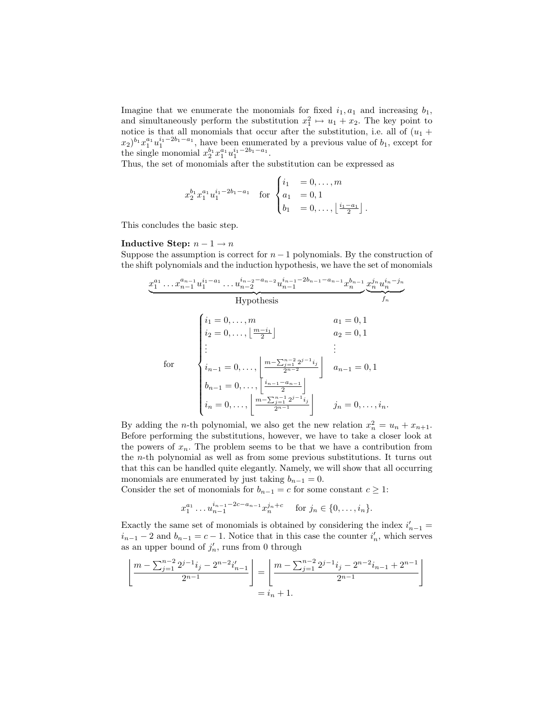Imagine that we enumerate the monomials for fixed  $i_1, a_1$  and increasing  $b_1$ , and simultaneously perform the substitution  $x_1^2 \mapsto u_1 + x_2$ . The key point to notice is that all monomials that occur after the substitution, i.e. all of  $(u_1 +$  $(x_2)^{b_1}x_1^{a_1}u_1^{i_1-2b_1-a_1}$ , have been enumerated by a previous value of  $b_1$ , except for the single monomial  $x_2^{b_1} x_1^{a_1} u_1^{i_1-2b_1-a_1}$ .

Thus, the set of monomials after the substitution can be expressed as

$$
x_2^{b_1} x_1^{a_1} u_1^{i_1 - 2b_1 - a_1} \quad \text{for } \begin{cases} i_1 = 0, \dots, m \\ a_1 = 0, 1 \\ b_1 = 0, \dots, \left\lfloor \frac{i_1 - a_1}{2} \right\rfloor. \end{cases}
$$

This concludes the basic step.

#### Inductive Step:  $n-1 \rightarrow n$

Suppose the assumption is correct for  $n-1$  polynomials. By the construction of the shift polynomials and the induction hypothesis, we have the set of monomials

x a<sup>1</sup> 1 . . . x an−<sup>1</sup> <sup>n</sup>−<sup>1</sup> u i1−a<sup>1</sup> 1 . . . u in−2−an−<sup>2</sup> <sup>n</sup>−<sup>2</sup> u in−1−2bn−1−an−<sup>1</sup> <sup>n</sup>−<sup>1</sup> x bn−<sup>1</sup> n | {z } Hypothesis x j<sup>n</sup> <sup>n</sup> u in−j<sup>n</sup> n | {z } f<sup>n</sup> for i<sup>1</sup> = 0, . . . , m a<sup>1</sup> = 0, 1 i<sup>2</sup> = 0, . . . , <sup>m</sup>−i<sup>1</sup> 2 a<sup>2</sup> = 0, 1 . . . . . . <sup>i</sup>n−<sup>1</sup> = 0, . . . , m− Pn−<sup>2</sup> <sup>j</sup>=1 2 j−1 ij 2n−<sup>2</sup> an−<sup>1</sup> = 0, 1 <sup>b</sup>n−<sup>1</sup> = 0, . . . , <sup>j</sup> in−1−an−<sup>1</sup> 2 k <sup>i</sup><sup>n</sup> = 0, . . . , m− Pn−<sup>1</sup> <sup>j</sup>=1 2 j−1 ij 2n−<sup>1</sup> j<sup>n</sup> = 0, . . . , in.

By adding the *n*-th polynomial, we also get the new relation  $x_n^2 = u_n + x_{n+1}$ . Before performing the substitutions, however, we have to take a closer look at the powers of  $x_n$ . The problem seems to be that we have a contribution from the n-th polynomial as well as from some previous substitutions. It turns out that this can be handled quite elegantly. Namely, we will show that all occurring monomials are enumerated by just taking  $b_{n-1} = 0$ .

Consider the set of monomials for  $b_{n-1} = c$  for some constant  $c \geq 1$ :

$$
x_1^{a_1} \dots x_{n-1}^{i_{n-1}-2c-a_{n-1}} x_n^{j_n+c}
$$
 for  $j_n \in \{0, \dots, i_n\}.$ 

Exactly the same set of monomials is obtained by considering the index  $i'_{n-1} =$  $i_{n-1} - 2$  and  $b_{n-1} = c - 1$ . Notice that in this case the counter  $i'_n$ , which serves as an upper bound of  $j'_n$ , runs from 0 through

$$
\left\lfloor \frac{m - \sum_{j=1}^{n-2} 2^{j-1} i_j - 2^{n-2} i'_{n-1}}{2^{n-1}} \right\rfloor = \left\lfloor \frac{m - \sum_{j=1}^{n-2} 2^{j-1} i_j - 2^{n-2} i_{n-1} + 2^{n-1}}{2^{n-1}} \right\rfloor
$$
  
=  $i_n + 1$ .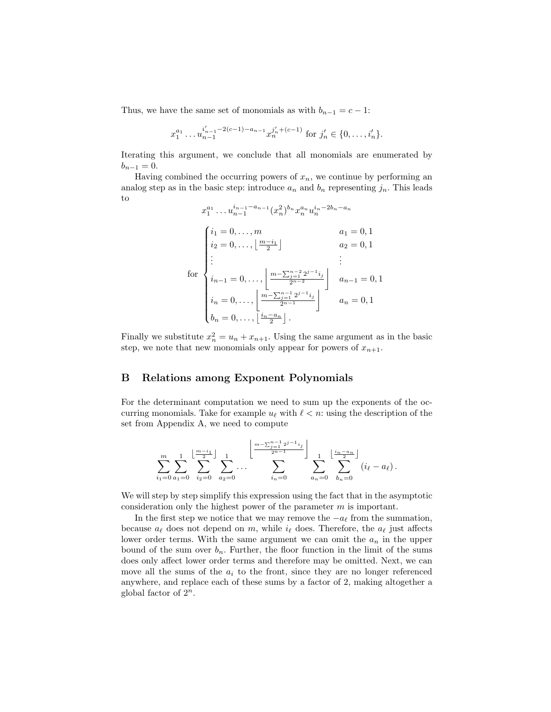Thus, we have the same set of monomials as with  $b_{n-1} = c - 1$ :

$$
x_1^{a_1} \dots x_{n-1}^{i'_{n-1}-2(c-1)-a_{n-1}} x_n^{j'_{n}+(c-1)} \text{ for } j'_n \in \{0, \dots, i'_n\}.
$$

Iterating this argument, we conclude that all monomials are enumerated by  $b_{n-1} = 0.$ 

Having combined the occurring powers of  $x_n$ , we continue by performing an analog step as in the basic step: introduce  $a_n$  and  $b_n$  representing  $j_n$ . This leads to

$$
x_1^{a_1} \dots u_{n-1}^{i_{n-1} - a_{n-1}} (x_n^2)^{b_n} x_n^{a_n} u_n^{i_n - 2b_n - a_n}
$$
  
\n
$$
\begin{cases}\ni_1 = 0, \dots, m & a_1 = 0, 1 \\
i_2 = 0, \dots, \left\lfloor \frac{m - i_1}{2} \right\rfloor & a_2 = 0, 1 \\
\vdots & \vdots \\
i_{n-1} = 0, \dots, \left\lfloor \frac{m - \sum_{j=1}^{n-2} 2^{j-1} i_j}{2^{n-2}} \right\rfloor & a_{n-1} = 0, 1 \\
i_n = 0, \dots, \left\lfloor \frac{m - \sum_{j=1}^{n-1} 2^{j-1} i_j}{2^{n-1}} \right\rfloor & a_n = 0, 1 \\
b_n = 0, \dots, \left\lfloor \frac{i_n - a_n}{2^n} \right\rfloor.\n\end{cases}
$$

Finally we substitute  $x_n^2 = u_n + x_{n+1}$ . Using the same argument as in the basic step, we note that new monomials only appear for powers of  $x_{n+1}$ .

### B Relations among Exponent Polynomials

For the determinant computation we need to sum up the exponents of the occurring monomials. Take for example  $u_\ell$  with  $\ell < n$ : using the description of the set from Appendix A, we need to compute

$$
\sum_{i_1=0}^m \sum_{a_1=0}^1 \sum_{i_2=0}^{\left \lfloor \frac{m-i_1}{2} \right \rfloor} \sum_{a_2=0}^1 \cdots \sum_{i_n=0}^{\left \lfloor \frac{m-\sum_{j=1}^{n-1} 2^{j-1} i_j}{2^{n-1}} \right \rfloor} \sum_{a_n=0}^1 \sum_{b_n=0}^{\left \lfloor \frac{i_n-a_n}{2} \right \rfloor} (i_\ell - a_\ell).
$$

We will step by step simplify this expression using the fact that in the asymptotic consideration only the highest power of the parameter  $m$  is important.

In the first step we notice that we may remove the  $-a_{\ell}$  from the summation, because  $a_\ell$  does not depend on m, while  $i_\ell$  does. Therefore, the  $a_\ell$  just affects lower order terms. With the same argument we can omit the  $a_n$  in the upper bound of the sum over  $b_n$ . Further, the floor function in the limit of the sums does only affect lower order terms and therefore may be omitted. Next, we can move all the sums of the  $a_i$  to the front, since they are no longer referenced anywhere, and replace each of these sums by a factor of 2, making altogether a global factor of  $2^n$ .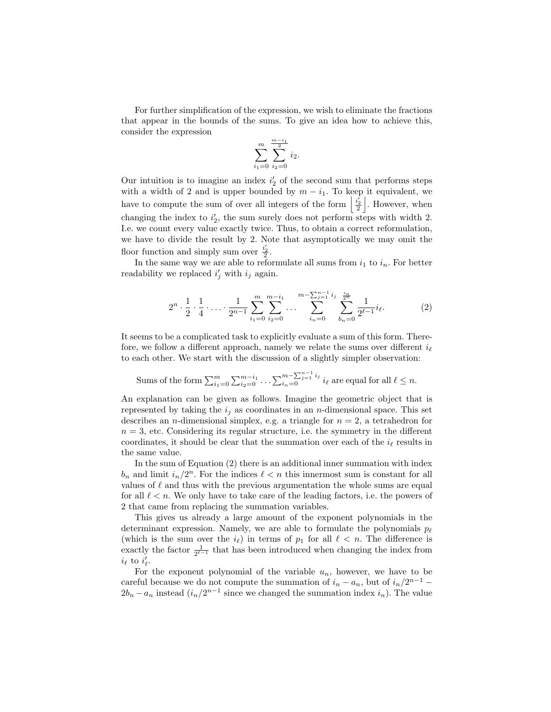For further simplification of the expression, we wish to eliminate the fractions that appear in the bounds of the sums. To give an idea how to achieve this, consider the expression

$$
\sum_{i_1=0}^m \sum_{i_2=0}^{\frac{m-i_1}{2}} i_2.
$$

Our intuition is to imagine an index  $i_2'$  of the second sum that performs steps with a width of 2 and is upper bounded by  $m - i_1$ . To keep it equivalent, we have to compute the sum of over all integers of the form  $\left|\frac{i'_2}{2}\right|$ . However, when changing the index to  $i'_2$ , the sum surely does not perform steps with width 2. I.e. we count every value exactly twice. Thus, to obtain a correct reformulation, we have to divide the result by 2. Note that asymptotically we may omit the floor function and simply sum over  $\frac{i'_2}{2}$ .

In the same way we are able to reformulate all sums from  $i_1$  to  $i_n$ . For better readability we replaced  $i'_j$  with  $i_j$  again.

$$
2^{n} \cdot \frac{1}{2} \cdot \frac{1}{4} \cdot \ldots \cdot \frac{1}{2^{n-1}} \sum_{i_1=0}^{m} \sum_{i_2=0}^{m-i_1} \ldots \sum_{i_n=0}^{m-\sum_{j=1}^{n-1} i_j} \sum_{b_n=0}^{\frac{i_n}{2^n}} \frac{1}{2^{\ell-1}} i_{\ell}.
$$
 (2)

It seems to be a complicated task to explicitly evaluate a sum of this form. Therefore, we follow a different approach, namely we relate the sums over different  $i_{\ell}$ to each other. We start with the discussion of a slightly simpler observation:

Sums of the form 
$$
\sum_{i_1=0}^m \sum_{i_2=0}^{m-i_1} \dots \sum_{i_n=0}^{m-\sum_{j=1}^{n-1} i_j} i_\ell
$$
 are equal for all  $\ell \leq n$ .

An explanation can be given as follows. Imagine the geometric object that is represented by taking the  $i_j$  as coordinates in an *n*-dimensional space. This set describes an *n*-dimensional simplex, e.g. a triangle for  $n = 2$ , a tetrahedron for  $n = 3$ , etc. Considering its regular structure, i.e. the symmetry in the different coordinates, it should be clear that the summation over each of the  $i_{\ell}$  results in the same value.

In the sum of Equation (2) there is an additional inner summation with index  $b_n$  and limit  $i_n/2^n$ . For the indices  $\ell < n$  this innermost sum is constant for all values of  $\ell$  and thus with the previous argumentation the whole sums are equal for all  $\ell < n$ . We only have to take care of the leading factors, i.e. the powers of 2 that came from replacing the summation variables.

This gives us already a large amount of the exponent polynomials in the determinant expression. Namely, we are able to formulate the polynomials  $p_{\ell}$ (which is the sum over the  $i_{\ell}$ ) in terms of  $p_1$  for all  $\ell < n$ . The difference is exactly the factor  $\frac{1}{2^{\ell-1}}$  that has been introduced when changing the index from  $i_{\ell}$  to  $i'_{\ell}$ .

For the exponent polynomial of the variable  $u_n$ , however, we have to be careful because we do not compute the summation of  $i_n - a_n$ , but of  $i_n/2^{n-1}$  $2b_n - a_n$  instead  $(i_n/2^{n-1})$  since we changed the summation index  $i_n$ ). The value